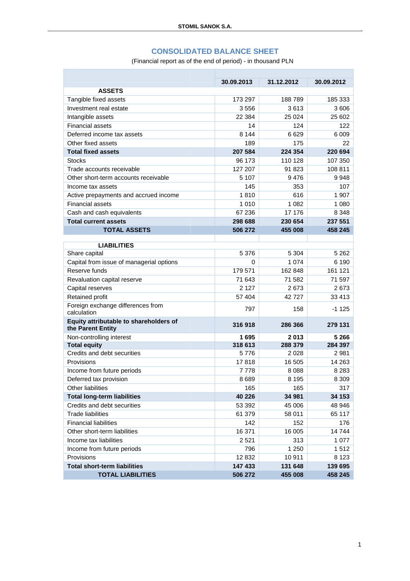## **CONSOLIDATED BALANCE SHEET**

(Financial report as of the end of period) - in thousand PLN

T.

|                                                  |            | 31.12.2012 |            |
|--------------------------------------------------|------------|------------|------------|
| <b>ASSETS</b>                                    | 30.09.2013 |            | 30.09.2012 |
|                                                  |            | 188789     |            |
| Tangible fixed assets<br>Investment real estate  | 173 297    | 3613       | 185 333    |
|                                                  | 3556       |            | 3 606      |
| Intangible assets                                | 22 3 84    | 25 0 24    | 25 602     |
| <b>Financial assets</b>                          | 14         | 124        | 122        |
| Deferred income tax assets                       | 8 1 4 4    | 6 629      | 6 0 0 9    |
| Other fixed assets                               | 189        | 175        | 22         |
| <b>Total fixed assets</b>                        | 207 584    | 224 354    | 220 694    |
| <b>Stocks</b>                                    | 96 173     | 110 128    | 107 350    |
| Trade accounts receivable                        | 127 207    | 91 823     | 108 811    |
| Other short-term accounts receivable             | 5 107      | 9476       | 9948       |
| Income tax assets                                | 145        | 353        | 107        |
| Active prepayments and accrued income            | 1810       | 616        | 1 907      |
| <b>Financial assets</b>                          | 1 0 1 0    | 1 0 8 2    | 1 0 8 0    |
| Cash and cash equivalents                        | 67 236     | 17 176     | 8 3 4 8    |
| <b>Total current assets</b>                      | 298 688    | 230 654    | 237 551    |
| <b>TOTAL ASSETS</b>                              | 506 272    | 455 008    | 458 245    |
|                                                  |            |            |            |
| <b>LIABILITIES</b>                               |            |            |            |
| Share capital                                    | 5 3 7 6    | 5 3 0 4    | 5 2 6 2    |
| Capital from issue of managerial options         | 0          | 1 0 7 4    | 6 190      |
| Reserve funds                                    | 179 571    | 162 848    | 161 121    |
| Revaluation capital reserve                      | 71 643     | 71 582     | 71 597     |
| Capital reserves                                 | 2 1 2 7    | 2673       | 2673       |
| Retained profit                                  | 57 404     | 42727      | 33 413     |
| Foreign exchange differences from<br>calculation | 797        | 158        | $-1125$    |
| Equity attributable to shareholders of           |            |            |            |
| the Parent Entity                                | 316918     | 286 366    | 279 131    |
| Non-controlling interest                         | 1695       | 2013       | 5 2 6 6    |
| <b>Total equity</b>                              | 318 613    | 288 379    | 284 397    |
| Credits and debt securities                      | 5776       | 2028       | 2981       |
| Provisions                                       | 17818      | 16 505     | 14 263     |
| Income from future periods                       | 7 7 7 8    | 8088       | 8 2 8 3    |
| Deferred tax provision                           | 8689       | 8 1 9 5    | 8 3 0 9    |
| <b>Other liabilities</b>                         | 165        | 165        | 317        |
| <b>Total long-term liabilities</b>               | 40 226     | 34 981     | 34 153     |
| Credits and debt securities                      | 53 392     | 45 006     | 48 946     |
| <b>Trade liabilities</b>                         | 61 379     | 58 011     | 65 117     |
| <b>Financial liabilities</b>                     | 142        | 152        | 176        |
| Other short-term liabilities                     | 16 371     | 16 005     | 14744      |
| Income tax liabilities                           | 2521       | 313        | 1 0 7 7    |
| Income from future periods                       | 796        | 1 250      | 1512       |
| Provisions                                       | 12832      | 10911      | 8 1 2 3    |
| <b>Total short-term liabilities</b>              | 147 433    | 131 648    | 139 695    |
| <b>TOTAL LIABILITIES</b>                         | 506 272    | 455 008    | 458 245    |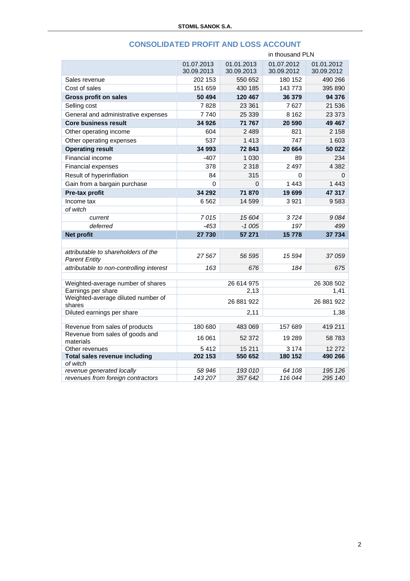|                                                             | in thousand PLN |            |            |            |
|-------------------------------------------------------------|-----------------|------------|------------|------------|
|                                                             | 01.07.2013      | 01.01.2013 | 01.07.2012 | 01.01.2012 |
|                                                             | 30.09.2013      | 30.09.2013 | 30.09.2012 | 30.09.2012 |
| Sales revenue                                               | 202 153         | 550 652    | 180 152    | 490 266    |
| Cost of sales                                               | 151 659         | 430 185    | 143773     | 395 890    |
| <b>Gross profit on sales</b>                                | 50 494          | 120 467    | 36 379     | 94 376     |
| Selling cost                                                | 7828            | 23 361     | 7627       | 21 536     |
| General and administrative expenses                         | 7740            | 25 339     | 8 1 6 2    | 23 373     |
| <b>Core business result</b>                                 | 34 926          | 71 767     | 20 590     | 49 467     |
| Other operating income                                      | 604             | 2489       | 821        | 2 1 5 8    |
| Other operating expenses                                    | 537             | 1413       | 747        | 1 603      |
| <b>Operating result</b>                                     | 34 993          | 72 843     | 20 664     | 50 022     |
| Financial income                                            | -407            | 1 0 3 0    | 89         | 234        |
| Financial expenses                                          | 378             | 2 3 1 8    | 2 4 9 7    | 4 3 8 2    |
| Result of hyperinflation                                    | 84              | 315        | 0          | 0          |
| Gain from a bargain purchase                                | 0               | 0          | 1 4 4 3    | 1 4 4 3    |
| Pre-tax profit                                              | 34 292          | 71870      | 19699      | 47 317     |
| Income tax                                                  | 6562            | 14 599     | 3921       | 9583       |
| of witch                                                    |                 |            |            |            |
| current                                                     | 7015            | 15 604     | 3724       | 9084       |
| deferred                                                    | $-453$          | $-1005$    | 197        | 499        |
| Net profit                                                  | 27 730          | 57 271     | 15778      | 37 734     |
|                                                             |                 |            |            |            |
| attributable to shareholders of the<br><b>Parent Entity</b> | 27567           | 56 595     | 15 594     | 37 059     |
| attributable to non-controlling interest                    | 163             | 676        | 184        | 675        |
|                                                             |                 |            |            |            |
| Weighted-average number of shares                           |                 | 26 614 975 |            | 26 308 502 |
| Earnings per share                                          |                 | 2,13       |            | 1,41       |
| Weighted-average diluted number of<br>shares                |                 | 26 881 922 |            | 26 881 922 |
| Diluted earnings per share                                  |                 | 2,11       |            | 1,38       |
| Revenue from sales of products                              | 180 680         | 483 069    | 157 689    | 419 211    |
| Revenue from sales of goods and                             | 16 061          | 52 372     | 19 289     | 58783      |
| materials                                                   |                 |            |            |            |
| Other revenues                                              | 5412            | 15 211     | 3 1 7 4    | 12 272     |
| Total sales revenue including<br>of witch                   | 202 153         | 550 652    | 180 152    | 490 266    |
| revenue generated locally                                   | 58 946          | 193010     | 64 108     | 195 126    |
| revenues from foreign contractors                           | 143 207         | 357 642    | 116 044    | 295 140    |
|                                                             |                 |            |            |            |

# **CONSOLIDATED PROFIT AND LOSS ACCOUNT**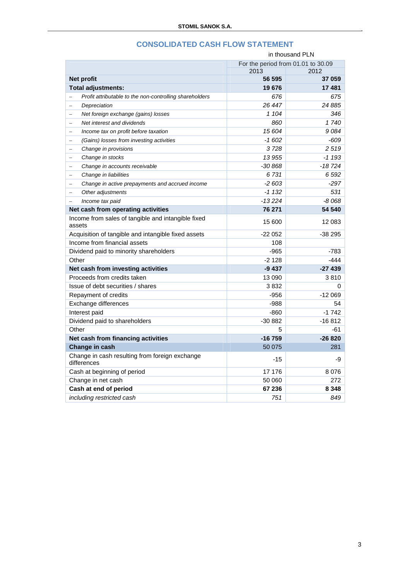|                                                                               | in thousand PLN                    |          |  |
|-------------------------------------------------------------------------------|------------------------------------|----------|--|
|                                                                               | For the period from 01.01 to 30.09 |          |  |
|                                                                               | 2013                               | 2012     |  |
| Net profit                                                                    | 56 595                             | 37 059   |  |
| Total adjustments:                                                            | 19676                              | 17481    |  |
| Profit attributable to the non-controlling shareholders                       | 676                                | 675      |  |
| Depreciation<br>$\equiv$                                                      | 26 447                             | 24 8 85  |  |
| Net foreign exchange (gains) losses<br>$\overline{\phantom{m}}$               | 1 104                              | 346      |  |
| Net interest and dividends<br>$\equiv$                                        | 860                                | 1740     |  |
| Income tax on profit before taxation<br>$\equiv$                              | 15 604                             | 9084     |  |
| (Gains) losses from investing activities<br>$\hspace{1.0cm} = \hspace{1.0cm}$ | $-1602$                            | $-609$   |  |
| Change in provisions<br>$\equiv$                                              | 3728                               | 2519     |  |
| Change in stocks<br>$\overline{\phantom{m}}$                                  | 13 955                             | $-1193$  |  |
| Change in accounts receivable<br>$\equiv$                                     | $-30868$                           | $-18724$ |  |
| Change in liabilities<br>L,                                                   | 6731                               | 6 5 9 2  |  |
| Change in active prepayments and accrued income<br>$\equiv$                   | $-2603$                            | $-297$   |  |
| Other adjustments<br>$\equiv$                                                 | $-1132$                            | 531      |  |
| Income tax paid<br>$\equiv$                                                   | $-13224$                           | $-8068$  |  |
| Net cash from operating activities                                            | 76 271                             | 54 540   |  |
| Income from sales of tangible and intangible fixed<br>assets                  | 15 600                             | 12 083   |  |
| Acquisition of tangible and intangible fixed assets                           | -22 052                            | -38 295  |  |
| Income from financial assets                                                  | 108                                |          |  |
| Dividend paid to minority shareholders                                        | $-965$                             | -783     |  |
| Other                                                                         | $-2128$                            | $-444$   |  |
| Net cash from investing activities                                            | $-9437$                            | $-27439$ |  |
| Proceeds from credits taken                                                   | 13 090                             | 3810     |  |
| Issue of debt securities / shares                                             | 3 832                              | 0        |  |
| Repayment of credits                                                          | $-956$                             | $-12069$ |  |
| Exchange differences                                                          | $-988$                             | 54       |  |
| Interest paid                                                                 | $-860$                             | $-1742$  |  |
| Dividend paid to shareholders                                                 | $-30882$                           | $-16812$ |  |
| Other                                                                         | 5                                  | $-61$    |  |
| Net cash from financing activities                                            | $-16759$                           | $-26820$ |  |
| Change in cash                                                                | 50 075                             | 281      |  |
| Change in cash resulting from foreign exchange<br>differences                 | $-15$                              | -9       |  |
| Cash at beginning of period                                                   | 17 176                             | 8076     |  |
| Change in net cash                                                            | 50 060                             | 272      |  |
| Cash at end of period                                                         | 67 236                             | 8 3 4 8  |  |
| including restricted cash                                                     | 751                                | 849      |  |

# **CONSOLIDATED CASH FLOW STATEMENT**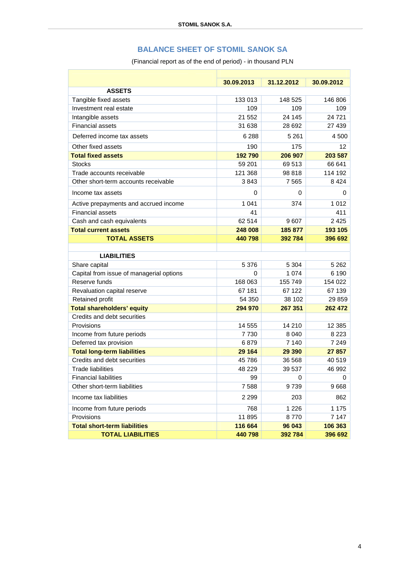### **BALANCE SHEET OF STOMIL SANOK SA**

(Financial report as of the end of period) - in thousand PLN

|                                          | 30.09.2013 | 31.12.2012 | 30.09.2012 |
|------------------------------------------|------------|------------|------------|
| <b>ASSETS</b>                            |            |            |            |
| Tangible fixed assets                    | 133 013    | 148 525    | 146 806    |
| Investment real estate                   | 109        | 109        | 109        |
| Intangible assets                        | 21 552     | 24 145     | 24 7 21    |
| <b>Financial assets</b>                  | 31 638     | 28 692     | 27 439     |
| Deferred income tax assets               | 6 2 8 8    | 5 2 6 1    | 4500       |
| Other fixed assets                       | 190        | 175        | 12         |
| <b>Total fixed assets</b>                | 192790     | 206 907    | 203 587    |
| <b>Stocks</b>                            | 59 201     | 69513      | 66 641     |
| Trade accounts receivable                | 121 368    | 98 818     | 114 192    |
| Other short-term accounts receivable     | 3843       | 7565       | 8424       |
| Income tax assets                        | 0          | 0          | 0          |
| Active prepayments and accrued income    | 1 0 4 1    | 374        | 1 0 1 2    |
| <b>Financial assets</b>                  | 41         |            | 411        |
| Cash and cash equivalents                | 62 514     | 9607       | 2 4 2 5    |
| <b>Total current assets</b>              | 248 008    | 185 877    | 193 105    |
| <b>TOTAL ASSETS</b>                      | 440798     | 392 784    | 396 692    |
|                                          |            |            |            |
| <b>LIABILITIES</b>                       |            |            |            |
| Share capital                            | 5 3 7 6    | 5 3 0 4    | 5 2 6 2    |
| Capital from issue of managerial options | 0          | 1 0 7 4    | 6 1 9 0    |
| Reserve funds                            | 168 063    | 155 749    | 154 022    |
| Revaluation capital reserve              | 67 181     | 67 122     | 67 139     |
| Retained profit                          | 54 350     | 38 102     | 29 859     |
| <b>Total shareholders' equity</b>        | 294 970    | 267 351    | 262 472    |
| Credits and debt securities              |            |            |            |
| Provisions                               | 14 555     | 14 210     | 12 3 8 5   |
| Income from future periods               | 7730       | 8 0 4 0    | 8 2 2 3    |
| Deferred tax provision                   | 6879       | 7 1 4 0    | 7 2 4 9    |
| <b>Total long-term liabilities</b>       | 29 164     | 29 390     | 27 857     |
| Credits and debt securities              | 45 786     | 36 568     | 40 519     |
| <b>Trade liabilities</b>                 | 48 229     | 39 537     | 46 992     |
| <b>Financial liabilities</b>             | 99         | 0          | 0          |
| Other short-term liabilities             | 7588       | 9739       | 9668       |
| Income tax liabilities                   | 2 2 9 9    | 203        | 862        |
| Income from future periods               | 768        | 1 2 2 6    | 1 1 7 5    |
| Provisions                               | 11 895     | 8770       | 7 1 4 7    |
| <b>Total short-term liabilities</b>      | 116 664    | 96 043     | 106 363    |
| <b>TOTAL LIABILITIES</b>                 | 440798     | 392 784    | 396 692    |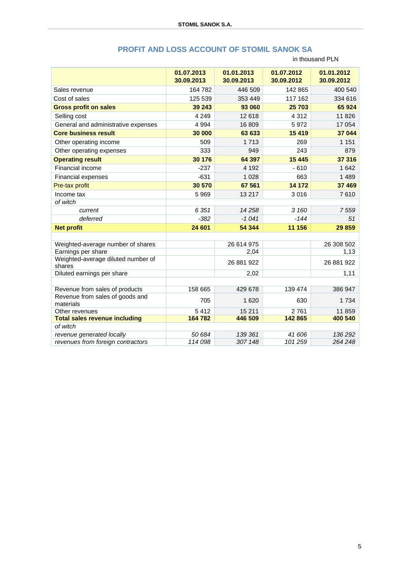|                                                          | 01.07.2013<br>30.09.2013 | 01.01.2013<br>30.09.2013 | 01.07.2012<br>30.09.2012 | 01.01.2012<br>30.09.2012 |
|----------------------------------------------------------|--------------------------|--------------------------|--------------------------|--------------------------|
| Sales revenue                                            | 164 782                  | 446 509                  | 142 865                  | 400 540                  |
| Cost of sales                                            | 125 539                  | 353 449                  | 117 162                  | 334 616                  |
| <b>Gross profit on sales</b>                             | 39 243                   | 93 060                   | 25 703                   | 65 924                   |
| Selling cost                                             | 4 2 4 9                  | 12 618                   | 4 3 1 2                  | 11 8 26                  |
| General and administrative expenses                      | 4 9 9 4                  | 16 809                   | 5972                     | 17 054                   |
| <b>Core business result</b>                              | 30 000                   | 63 633                   | 15 4 19                  | 37 044                   |
| Other operating income                                   | 509                      | 1713                     | 269                      | 1 1 5 1                  |
| Other operating expenses                                 | 333                      | 949                      | 243                      | 879                      |
| <b>Operating result</b>                                  | 30 176                   | 64 397                   | 15 4 45                  | 37 316                   |
| Financial income                                         | $-237$                   | 4 1 9 2                  | $-610$                   | 1 642                    |
| Financial expenses                                       | $-631$                   | 1 0 2 8                  | 663                      | 1 4 8 9                  |
| Pre-tax profit                                           | 30 570                   | 67 561                   | 14 172                   | 37 469                   |
| Income tax                                               | 5 9 6 9                  | 13 217                   | 3016                     | 7610                     |
| of witch                                                 |                          |                          |                          |                          |
| current                                                  | 6 3 5 1                  | 14 2 5 8                 | 3 160                    | 7559                     |
| deferred                                                 | $-382$                   | $-1041$                  | $-144$                   | 51                       |
| <b>Net profit</b>                                        | 24 601                   | 54 344                   | 11 156                   | 29 859                   |
|                                                          |                          |                          |                          |                          |
| Weighted-average number of shares                        |                          | 26 614 975               |                          | 26 308 502               |
| Earnings per share<br>Weighted-average diluted number of |                          | 2,04                     |                          | 1,13                     |
| shares                                                   |                          | 26 881 922               |                          | 26 881 922               |
| Diluted earnings per share                               |                          | 2,02                     |                          | 1,11                     |
| Revenue from sales of products                           | 158 665                  | 429 678                  | 139 474                  | 386 947                  |
| Revenue from sales of goods and<br>materials             | 705                      | 1 6 2 0                  | 630                      | 1 7 3 4                  |
| Other revenues                                           | 5412                     | 15 211                   | 2761                     | 11 859                   |
| <b>Total sales revenue including</b>                     | 164 782                  | 446 509                  | 142 865                  | 400 540                  |
| of witch                                                 |                          |                          |                          |                          |
| revenue generated locally                                | 50 684                   | 139 361                  | 41 606                   | 136 292                  |
| revenues from foreign contractors                        | 114 098                  | 307 148                  | 101 259                  | 264 248                  |

## **PROFIT AND LOSS ACCOUNT OF STOMIL SANOK SA**

in thousand PLN